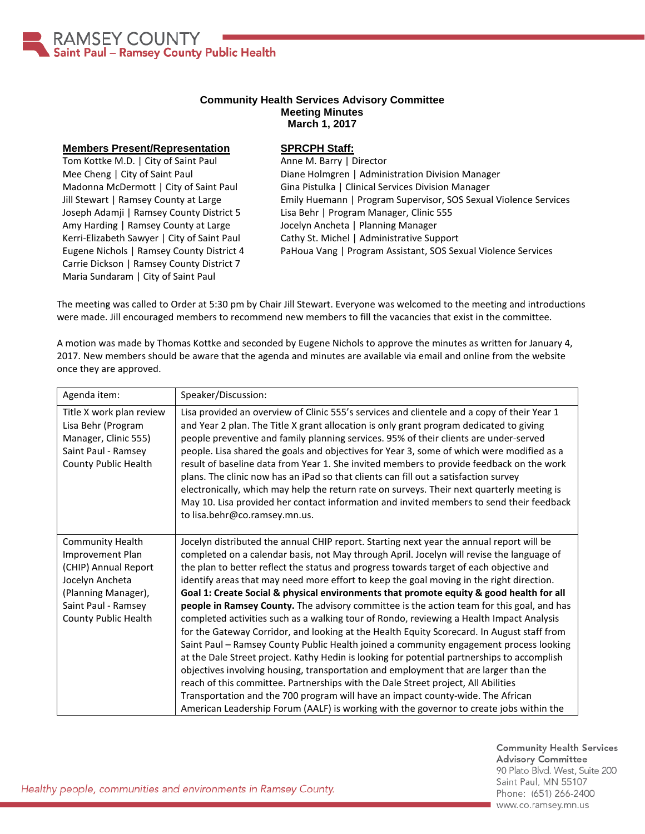

## **Community Health Services Advisory Committee Meeting Minutes March 1, 2017**

## **Members Present/Representation**

Tom Kottke M.D. | City of Saint Paul Mee Cheng | City of Saint Paul Madonna McDermott | City of Saint Paul Jill Stewart | Ramsey County at Large Joseph Adamji | Ramsey County District 5 Amy Harding | Ramsey County at Large Kerri-Elizabeth Sawyer | City of Saint Paul Eugene Nichols | Ramsey County District 4 Carrie Dickson | Ramsey County District 7 Maria Sundaram | City of Saint Paul

## **SPRCPH Staff:**

Anne M. Barry | Director Diane Holmgren | Administration Division Manager Gina Pistulka | Clinical Services Division Manager Emily Huemann | Program Supervisor, SOS Sexual Violence Services Lisa Behr | Program Manager, Clinic 555 Jocelyn Ancheta | Planning Manager Cathy St. Michel | Administrative Support PaHoua Vang | Program Assistant, SOS Sexual Violence Services

The meeting was called to Order at 5:30 pm by Chair Jill Stewart. Everyone was welcomed to the meeting and introductions were made. Jill encouraged members to recommend new members to fill the vacancies that exist in the committee.

A motion was made by Thomas Kottke and seconded by Eugene Nichols to approve the minutes as written for January 4, 2017. New members should be aware that the agenda and minutes are available via email and online from the website once they are approved.

| Agenda item:                                                                                                                                          | Speaker/Discussion:                                                                                                                                                                                                                                                                                                                                                                                                                                                                                                                                                                                                                                                                                                                                                                                                                                                                                                                                                                                                                                                                                                                                                                                                                                                                                                |
|-------------------------------------------------------------------------------------------------------------------------------------------------------|--------------------------------------------------------------------------------------------------------------------------------------------------------------------------------------------------------------------------------------------------------------------------------------------------------------------------------------------------------------------------------------------------------------------------------------------------------------------------------------------------------------------------------------------------------------------------------------------------------------------------------------------------------------------------------------------------------------------------------------------------------------------------------------------------------------------------------------------------------------------------------------------------------------------------------------------------------------------------------------------------------------------------------------------------------------------------------------------------------------------------------------------------------------------------------------------------------------------------------------------------------------------------------------------------------------------|
| Title X work plan review<br>Lisa Behr (Program<br>Manager, Clinic 555)<br>Saint Paul - Ramsey<br>County Public Health                                 | Lisa provided an overview of Clinic 555's services and clientele and a copy of their Year 1<br>and Year 2 plan. The Title X grant allocation is only grant program dedicated to giving<br>people preventive and family planning services. 95% of their clients are under-served<br>people. Lisa shared the goals and objectives for Year 3, some of which were modified as a<br>result of baseline data from Year 1. She invited members to provide feedback on the work<br>plans. The clinic now has an iPad so that clients can fill out a satisfaction survey<br>electronically, which may help the return rate on surveys. Their next quarterly meeting is<br>May 10. Lisa provided her contact information and invited members to send their feedback<br>to lisa.behr@co.ramsey.mn.us.                                                                                                                                                                                                                                                                                                                                                                                                                                                                                                                        |
| Community Health<br>Improvement Plan<br>(CHIP) Annual Report<br>Jocelyn Ancheta<br>(Planning Manager),<br>Saint Paul - Ramsey<br>County Public Health | Jocelyn distributed the annual CHIP report. Starting next year the annual report will be<br>completed on a calendar basis, not May through April. Jocelyn will revise the language of<br>the plan to better reflect the status and progress towards target of each objective and<br>identify areas that may need more effort to keep the goal moving in the right direction.<br>Goal 1: Create Social & physical environments that promote equity & good health for all<br>people in Ramsey County. The advisory committee is the action team for this goal, and has<br>completed activities such as a walking tour of Rondo, reviewing a Health Impact Analysis<br>for the Gateway Corridor, and looking at the Health Equity Scorecard. In August staff from<br>Saint Paul - Ramsey County Public Health joined a community engagement process looking<br>at the Dale Street project. Kathy Hedin is looking for potential partnerships to accomplish<br>objectives involving housing, transportation and employment that are larger than the<br>reach of this committee. Partnerships with the Dale Street project, All Abilities<br>Transportation and the 700 program will have an impact county-wide. The African<br>American Leadership Forum (AALF) is working with the governor to create jobs within the |

**Community Health Services Advisory Committee** 90 Plato Blvd. West, Suite 200 Saint Paul, MN 55107 Phone: (651) 266-2400 www.co.ramsey.mn.us

Healthy people, communities and environments in Ramsey County.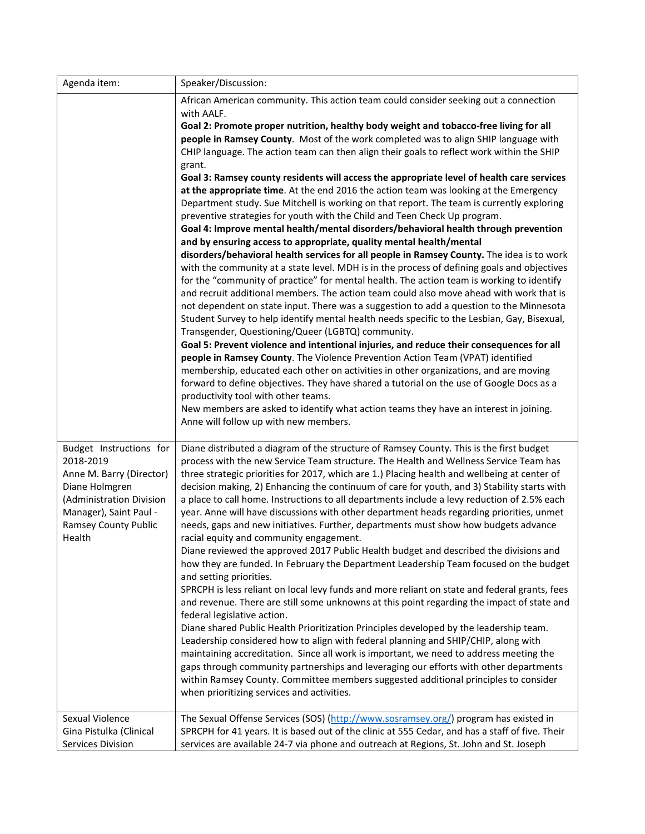| Agenda item:                                       | Speaker/Discussion:                                                                                                                                                                |
|----------------------------------------------------|------------------------------------------------------------------------------------------------------------------------------------------------------------------------------------|
|                                                    | African American community. This action team could consider seeking out a connection                                                                                               |
|                                                    | with AALF.                                                                                                                                                                         |
|                                                    | Goal 2: Promote proper nutrition, healthy body weight and tobacco-free living for all                                                                                              |
|                                                    | people in Ramsey County. Most of the work completed was to align SHIP language with                                                                                                |
|                                                    | CHIP language. The action team can then align their goals to reflect work within the SHIP                                                                                          |
|                                                    | grant.                                                                                                                                                                             |
|                                                    | Goal 3: Ramsey county residents will access the appropriate level of health care services<br>at the appropriate time. At the end 2016 the action team was looking at the Emergency |
|                                                    | Department study. Sue Mitchell is working on that report. The team is currently exploring                                                                                          |
|                                                    | preventive strategies for youth with the Child and Teen Check Up program.                                                                                                          |
|                                                    | Goal 4: Improve mental health/mental disorders/behavioral health through prevention                                                                                                |
|                                                    | and by ensuring access to appropriate, quality mental health/mental                                                                                                                |
|                                                    | disorders/behavioral health services for all people in Ramsey County. The idea is to work                                                                                          |
|                                                    | with the community at a state level. MDH is in the process of defining goals and objectives                                                                                        |
|                                                    | for the "community of practice" for mental health. The action team is working to identify                                                                                          |
|                                                    | and recruit additional members. The action team could also move ahead with work that is                                                                                            |
|                                                    | not dependent on state input. There was a suggestion to add a question to the Minnesota                                                                                            |
|                                                    | Student Survey to help identify mental health needs specific to the Lesbian, Gay, Bisexual,                                                                                        |
|                                                    | Transgender, Questioning/Queer (LGBTQ) community.                                                                                                                                  |
|                                                    | Goal 5: Prevent violence and intentional injuries, and reduce their consequences for all                                                                                           |
|                                                    | people in Ramsey County. The Violence Prevention Action Team (VPAT) identified                                                                                                     |
|                                                    | membership, educated each other on activities in other organizations, and are moving<br>forward to define objectives. They have shared a tutorial on the use of Google Docs as a   |
|                                                    | productivity tool with other teams.                                                                                                                                                |
|                                                    | New members are asked to identify what action teams they have an interest in joining.                                                                                              |
|                                                    | Anne will follow up with new members.                                                                                                                                              |
|                                                    |                                                                                                                                                                                    |
| Budget Instructions for                            | Diane distributed a diagram of the structure of Ramsey County. This is the first budget                                                                                            |
| 2018-2019                                          | process with the new Service Team structure. The Health and Wellness Service Team has                                                                                              |
| Anne M. Barry (Director)                           | three strategic priorities for 2017, which are 1.) Placing health and wellbeing at center of                                                                                       |
| Diane Holmgren                                     | decision making, 2) Enhancing the continuum of care for youth, and 3) Stability starts with                                                                                        |
| (Administration Division<br>Manager), Saint Paul - | a place to call home. Instructions to all departments include a levy reduction of 2.5% each                                                                                        |
| <b>Ramsey County Public</b>                        | year. Anne will have discussions with other department heads regarding priorities, unmet<br>needs, gaps and new initiatives. Further, departments must show how budgets advance    |
| Health                                             | racial equity and community engagement.                                                                                                                                            |
|                                                    | Diane reviewed the approved 2017 Public Health budget and described the divisions and                                                                                              |
|                                                    | how they are funded. In February the Department Leadership Team focused on the budget                                                                                              |
|                                                    | and setting priorities.                                                                                                                                                            |
|                                                    | SPRCPH is less reliant on local levy funds and more reliant on state and federal grants, fees                                                                                      |
|                                                    | and revenue. There are still some unknowns at this point regarding the impact of state and                                                                                         |
|                                                    | federal legislative action.                                                                                                                                                        |
|                                                    | Diane shared Public Health Prioritization Principles developed by the leadership team.                                                                                             |
|                                                    | Leadership considered how to align with federal planning and SHIP/CHIP, along with                                                                                                 |
|                                                    | maintaining accreditation. Since all work is important, we need to address meeting the<br>gaps through community partnerships and leveraging our efforts with other departments    |
|                                                    | within Ramsey County. Committee members suggested additional principles to consider                                                                                                |
|                                                    | when prioritizing services and activities.                                                                                                                                         |
|                                                    |                                                                                                                                                                                    |
| Sexual Violence                                    | The Sexual Offense Services (SOS) (http://www.sosramsey.org/) program has existed in                                                                                               |
| Gina Pistulka (Clinical                            | SPRCPH for 41 years. It is based out of the clinic at 555 Cedar, and has a staff of five. Their                                                                                    |
| Services Division                                  | services are available 24-7 via phone and outreach at Regions, St. John and St. Joseph                                                                                             |